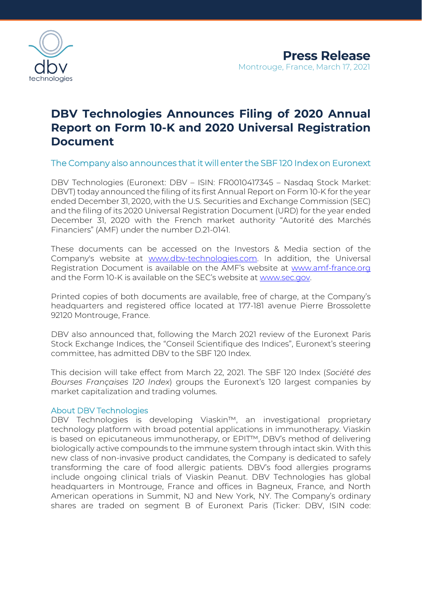

## **DBV Technologies Announces Filing of 2020 Annual Report on Form 10-K and 2020 Universal Registration Document**

The Company also announces that it will enter the SBF 120 Index on Euronext

DBV Technologies (Euronext: DBV – ISIN: FR0010417345 – Nasdaq Stock Market: DBVT) today announced the filing of its first Annual Report on Form 10-K for the year ended December 31, 2020, with the U.S. Securities and Exchange Commission (SEC) and the filing of its 2020 Universal Registration Document (URD) for the year ended December 31, 2020 with the French market authority "Autorité des Marchés Financiers" (AMF) under the number D.21-0141.

These documents can be accessed on the Investors & Media section of the Company's website at [www.dbv-technologies.com.](http://www.dbv-technologies.com/) In addition, the Universal Registration Document is available on the AMF's website at [www.amf-france.org](http://www.amf-france.org/) and the Form 10-K is available on the SEC's website at [www.sec.gov.](http://www.sec.gov/) 

Printed copies of both documents are available, free of charge, at the Company's headquarters and registered office located at 177-181 avenue Pierre Brossolette 92120 Montrouge, France.

DBV also announced that, following the March 2021 review of the Euronext Paris Stock Exchange Indices, the "Conseil Scientifique des Indices", Euronext's steering committee, has admitted DBV to the SBF 120 Index.

This decision will take effect from March 22, 2021. The SBF 120 Index (*Société des Bourses Françaises 120 Index*) groups the Euronext's 120 largest companies by market capitalization and trading volumes.

## About DBV Technologies

DBV Technologies is developing Viaskin™, an investigational proprietary technology platform with broad potential applications in immunotherapy. Viaskin is based on epicutaneous immunotherapy, or EPIT™, DBV's method of delivering biologically active compounds to the immune system through intact skin. With this new class of non-invasive product candidates, the Company is dedicated to safely transforming the care of food allergic patients. DBV's food allergies programs include ongoing clinical trials of Viaskin Peanut. DBV Technologies has global headquarters in Montrouge, France and offices in Bagneux, France, and North American operations in Summit, NJ and New York, NY. The Company's ordinary shares are traded on segment B of Euronext Paris (Ticker: DBV, ISIN code: